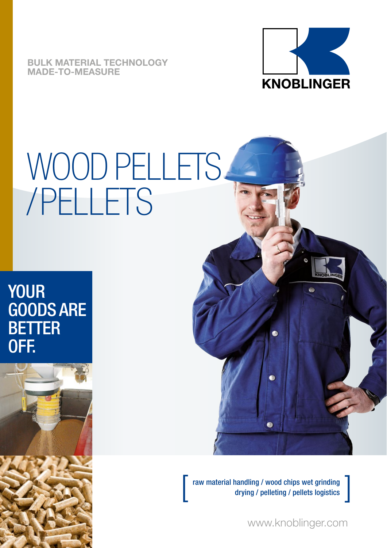**BULK MATERIAL TECHNOLOGY MADE-TO-MEASURE**



# WOOD PELLETS /PELLETS

### YOUR GOODS ARE **BETTER** OFF.





raw material handling / wood chips wet grinding<br>drying / pelleting / pellets logistics

www.knoblinger.com

]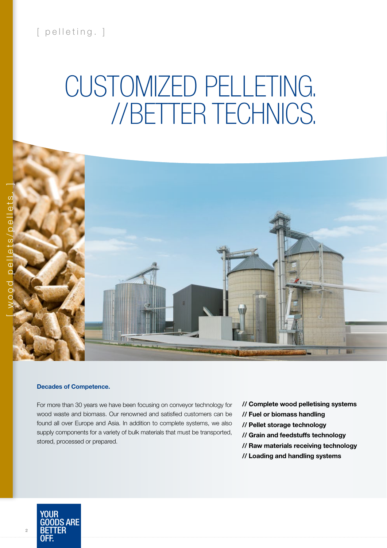### [ pelleting. ]

# CUSTOMIZED PELLETING. //BETTER TECHNICS.



#### **Decades of Competence.**

For more than 30 years we have been focusing on conveyor technology for wood waste and biomass. Our renowned and satisfied customers can be found all over Europe and Asia. In addition to complete systems, we also supply components for a variety of bulk materials that must be transported, stored, processed or prepared.

- **// Complete wood pelletising systems**
- **// Fuel or biomass handling**
- **// Pellet storage technology**
- **// Grain and feedstuffs technology**
- **// Raw materials receiving technology**
- **// Loading and handling systems**



**2**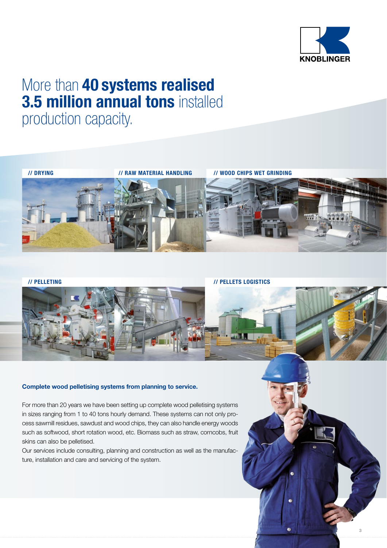

### More than **40 systems realised 3.5 million annual tons** installed

production capacity.



**// PELLETING // PELLETS LOGISTICS**

**PELLETS-LOGISTIK**



### **Complete wood pelletising systems from planning to service.**

For more than 20 years we have been setting up complete wood pelletising systems in sizes ranging from 1 to 40 tons hourly demand. These systems can not only process sawmill residues, sawdust and wood chips, they can also handle energy woods such as softwood, short rotation wood, etc. Biomass such as straw, corncobs, fruit skins can also be pelletised.

Our services include consulting, planning and construction as well as the manufacture, installation and care and servicing of the system.